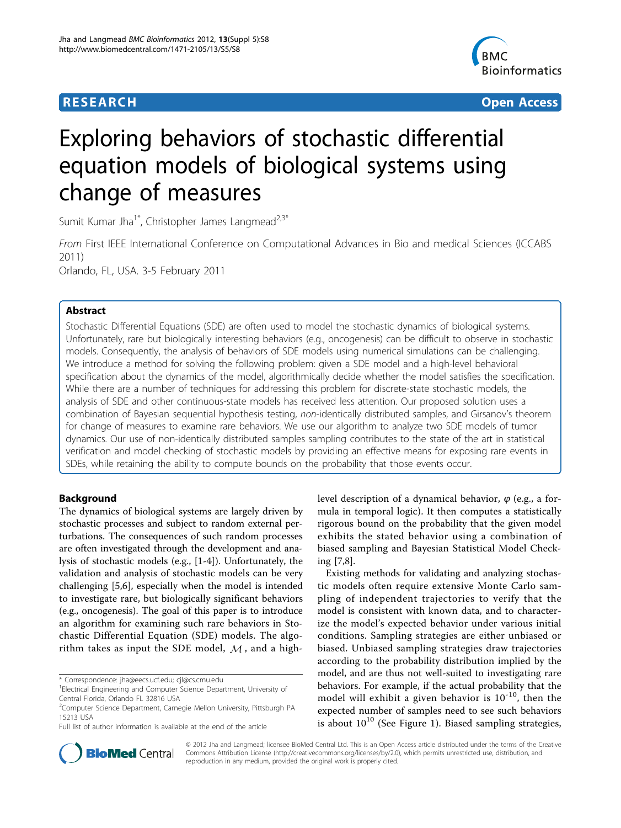# **RESEARCH CONTROL** CONTROL CONTROL CONTROL CONTROL CONTROL CONTROL CONTROL CONTROL CONTROL CONTROL CONTROL CONTROL CONTROL CONTROL CONTROL CONTROL CONTROL CONTROL CONTROL CONTROL CONTROL CONTROL CONTROL CONTROL CONTROL CON



# Exploring behaviors of stochastic differential equation models of biological systems using change of measures

Sumit Kumar Jha<sup>1\*</sup>, Christopher James Langmead<sup>2,3\*</sup>

From First IEEE International Conference on Computational Advances in Bio and medical Sciences (ICCABS 2011) Orlando, FL, USA. 3-5 February 2011

# Abstract

Stochastic Differential Equations (SDE) are often used to model the stochastic dynamics of biological systems. Unfortunately, rare but biologically interesting behaviors (e.g., oncogenesis) can be difficult to observe in stochastic models. Consequently, the analysis of behaviors of SDE models using numerical simulations can be challenging. We introduce a method for solving the following problem: given a SDE model and a high-level behavioral specification about the dynamics of the model, algorithmically decide whether the model satisfies the specification. While there are a number of techniques for addressing this problem for discrete-state stochastic models, the analysis of SDE and other continuous-state models has received less attention. Our proposed solution uses a combination of Bayesian sequential hypothesis testing, non-identically distributed samples, and Girsanov's theorem for change of measures to examine rare behaviors. We use our algorithm to analyze two SDE models of tumor dynamics. Our use of non-identically distributed samples sampling contributes to the state of the art in statistical verification and model checking of stochastic models by providing an effective means for exposing rare events in SDEs, while retaining the ability to compute bounds on the probability that those events occur.

# Background

The dynamics of biological systems are largely driven by stochastic processes and subject to random external perturbations. The consequences of such random processes are often investigated through the development and analysis of stochastic models (e.g., [[1-4](#page-8-0)]). Unfortunately, the validation and analysis of stochastic models can be very challenging [\[5,6](#page-8-0)], especially when the model is intended to investigate rare, but biologically significant behaviors (e.g., oncogenesis). The goal of this paper is to introduce an algorithm for examining such rare behaviors in Stochastic Differential Equation (SDE) models. The algorithm takes as input the SDE model, *M* , and a high-

\* Correspondence: [jha@eecs.ucf.edu;](mailto:jha@eecs.ucf.edu) [cjl@cs.cmu.edu](mailto:cjl@cs.cmu.edu)

level description of a dynamical behavior,  $\varphi$  (e.g., a formula in temporal logic). It then computes a statistically rigorous bound on the probability that the given model exhibits the stated behavior using a combination of biased sampling and Bayesian Statistical Model Checking [[7,8\]](#page-8-0).

Existing methods for validating and analyzing stochastic models often require extensive Monte Carlo sampling of independent trajectories to verify that the model is consistent with known data, and to characterize the model's expected behavior under various initial conditions. Sampling strategies are either unbiased or biased. Unbiased sampling strategies draw trajectories according to the probability distribution implied by the model, and are thus not well-suited to investigating rare behaviors. For example, if the actual probability that the model will exhibit a given behavior is  $10^{-10}$ , then the expected number of samples need to see such behaviors is about  $10^{10}$  (See Figure [1\)](#page-1-0). Biased sampling strategies,



© 2012 Jha and Langmead; licensee BioMed Central Ltd. This is an Open Access article distributed under the terms of the Creative Commons Attribution License [\(http://creativecommons.org/licenses/by/2.0](http://creativecommons.org/licenses/by/2.0)), which permits unrestricted use, distribution, and reproduction in any medium, provided the original work is properly cited.

<sup>&</sup>lt;sup>1</sup> Electrical Engineering and Computer Science Department, University of Central Florida, Orlando FL 32816 USA

<sup>&</sup>lt;sup>2</sup>Computer Science Department, Carnegie Mellon University, Pittsburgh PA 15213 USA

Full list of author information is available at the end of the article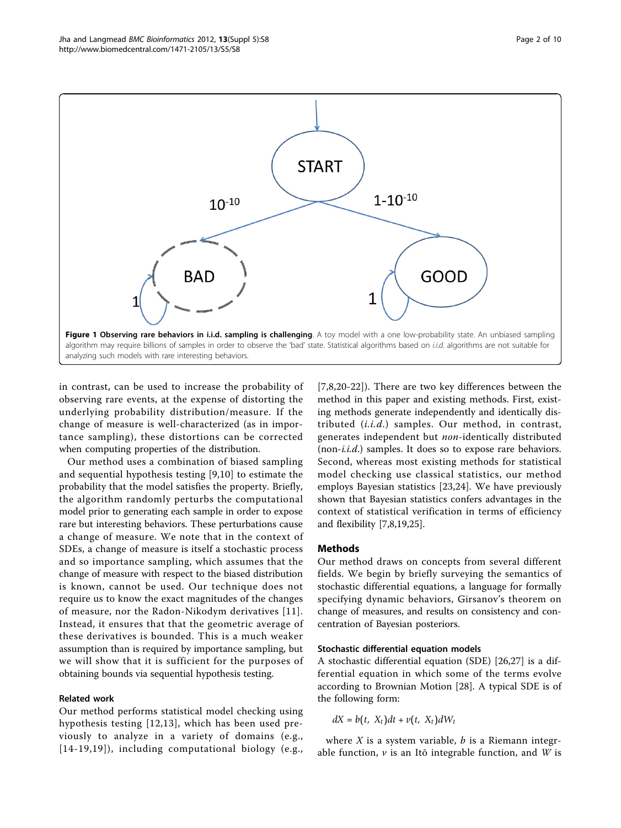<span id="page-1-0"></span>

in contrast, can be used to increase the probability of observing rare events, at the expense of distorting the underlying probability distribution/measure. If the change of measure is well-characterized (as in importance sampling), these distortions can be corrected when computing properties of the distribution.

Our method uses a combination of biased sampling and sequential hypothesis testing [[9,10](#page-8-0)] to estimate the probability that the model satisfies the property. Briefly, the algorithm randomly perturbs the computational model prior to generating each sample in order to expose rare but interesting behaviors. These perturbations cause a change of measure. We note that in the context of SDEs, a change of measure is itself a stochastic process and so importance sampling, which assumes that the change of measure with respect to the biased distribution is known, cannot be used. Our technique does not require us to know the exact magnitudes of the changes of measure, nor the Radon-Nikodym derivatives [[11\]](#page-8-0). Instead, it ensures that that the geometric average of these derivatives is bounded. This is a much weaker assumption than is required by importance sampling, but we will show that it is sufficient for the purposes of obtaining bounds via sequential hypothesis testing.

## Related work

Our method performs statistical model checking using hypothesis testing [[12](#page-8-0),[13](#page-8-0)], which has been used previously to analyze in a variety of domains (e.g., [[14](#page-8-0)-[19,19](#page-8-0)]), including computational biology (e.g.,

[[7,8](#page-8-0),[20-22](#page-8-0)]). There are two key differences between the method in this paper and existing methods. First, existing methods generate independently and identically distributed  $(i.i.d.)$  samples. Our method, in contrast, generates independent but non-identically distributed  $($ non- $i.i.d.$ ) samples. It does so to expose rare behaviors. Second, whereas most existing methods for statistical model checking use classical statistics, our method employs Bayesian statistics [[23](#page-8-0),[24\]](#page-8-0). We have previously shown that Bayesian statistics confers advantages in the context of statistical verification in terms of efficiency and flexibility [[7,8,19](#page-8-0),[25](#page-8-0)].

## Methods

Our method draws on concepts from several different fields. We begin by briefly surveying the semantics of stochastic differential equations, a language for formally specifying dynamic behaviors, Girsanov's theorem on change of measures, and results on consistency and concentration of Bayesian posteriors.

#### Stochastic differential equation models

A stochastic differential equation (SDE) [[26,27\]](#page-9-0) is a differential equation in which some of the terms evolve according to Brownian Motion [\[28](#page-9-0)]. A typical SDE is of the following form:

$$
dX = b(t, X_t)dt + v(t, X_t)dW_t
$$

where  $X$  is a system variable,  $b$  is a Riemann integrable function,  $\nu$  is an Itō integrable function, and W is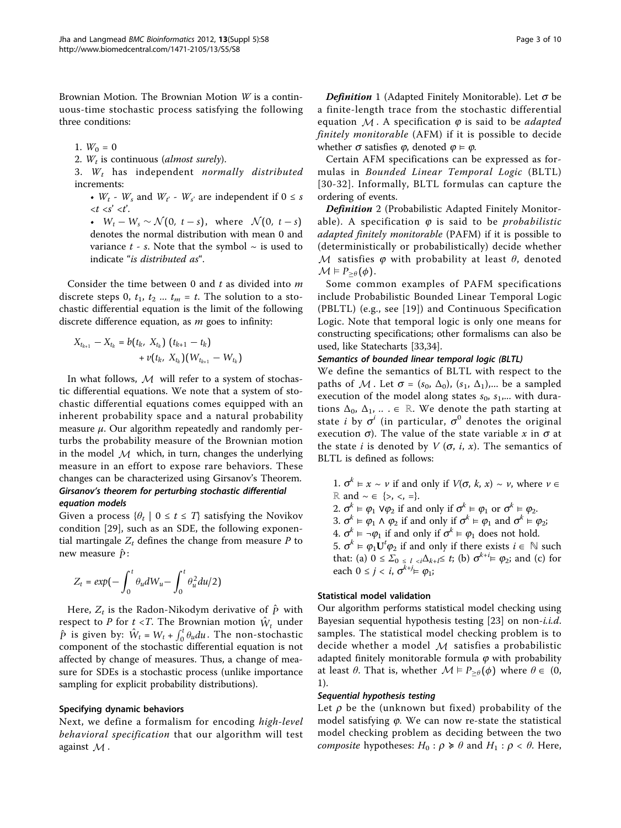Brownian Motion. The Brownian Motion W is a continuous-time stochastic process satisfying the following three conditions:

1.  $W_0 = 0$ 

2.  $W_t$  is continuous (almost surely).

3.  $W_t$  has independent normally distributed increments:

•  $W_t$  -  $W_s$  and  $W_{t'}$  -  $W_{s'}$  are independent if  $0 \leq s$  $s'  $.$$ 

•  $W_t - W_s \sim \mathcal{N}(0, t - s)$ , where  $\mathcal{N}(0, t - s)$ denotes the normal distribution with mean 0 and variance  $t$  - s. Note that the symbol  $\sim$  is used to indicate "is distributed as".

Consider the time between 0 and  $t$  as divided into  $m$ discrete steps 0,  $t_1$ ,  $t_2$  ...  $t_m = t$ . The solution to a stochastic differential equation is the limit of the following discrete difference equation, as  $m$  goes to infinity:

$$
X_{t_{k+1}} - X_{t_k} = b(t_k, X_{t_k}) (t_{k+1} - t_k)
$$
  
+  $\nu(t_k, X_{t_k}) (W_{t_{k+1}} - W_{t_k})$ 

In what follows, M will refer to a system of stochastic differential equations. We note that a system of stochastic differential equations comes equipped with an inherent probability space and a natural probability measure  $\mu$ . Our algorithm repeatedly and randomly perturbs the probability measure of the Brownian motion in the model  $M$  which, in turn, changes the underlying measure in an effort to expose rare behaviors. These changes can be characterized using Girsanov's Theorem. Girsanov's theorem for perturbing stochastic differential equation models

Given a process  $\{\theta_t \mid 0 \le t \le T\}$  satisfying the Novikov condition [[29](#page-9-0)], such as an SDE, the following exponential martingale  $Z_t$  defines the change from measure P to new measure  $\hat{p}$ :

$$
Z_t=exp\bigl(-\int_0^t\theta_udW_u-\int_0^t\theta_u^2du/2\bigr)
$$

Here,  $Z_t$  is the Radon-Nikodym derivative of  $\hat{P}$  with respect to P for  $t < T$ . The Brownian motion  $\hat{W}_t$  under  $\hat{p}$  is given by:  $\hat{W}_t = W_t + \int_0^t \theta_u du$ . The non-stochastic component of the stochastic differential equation is not affected by change of measures. Thus, a change of measure for SDEs is a stochastic process (unlike importance sampling for explicit probability distributions).

# Specifying dynamic behaviors

Next, we define a formalism for encoding high-level behavioral specification that our algorithm will test against *M* .

**Definition** 1 (Adapted Finitely Monitorable). Let  $\sigma$  be a finite-length trace from the stochastic differential equation  $M$ . A specification  $\varphi$  is said to be *adapted* finitely monitorable (AFM) if it is possible to decide whether  $\sigma$  satisfies  $\varphi$ , denoted  $\varphi \models \varphi$ .

Certain AFM specifications can be expressed as formulas in Bounded Linear Temporal Logic (BLTL) [[30-32\]](#page-9-0). Informally, BLTL formulas can capture the ordering of events.

Definition 2 (Probabilistic Adapted Finitely Monitorable). A specification  $\varphi$  is said to be *probabilistic* adapted finitely monitorable (PAFM) if it is possible to (deterministically or probabilistically) decide whether *M* satisfies  $\varphi$  with probability at least  $\theta$ , denoted  $\mathcal{M} \vDash P_{\geq \theta}(\phi)$ .

Some common examples of PAFM specifications include Probabilistic Bounded Linear Temporal Logic (PBLTL) (e.g., see [\[19\]](#page-8-0)) and Continuous Specification Logic. Note that temporal logic is only one means for constructing specifications; other formalisms can also be used, like Statecharts [\[33,34](#page-9-0)].

# Semantics of bounded linear temporal logic (BLTL)

We define the semantics of BLTL with respect to the paths of *M* . Let  $\sigma = (s_0, \Delta_0), (s_1, \Delta_1),$ ... be a sampled execution of the model along states  $s_0$ ,  $s_1$ ,... with durations  $\Delta_0$ ,  $\Delta_1$ , ...  $\in \mathbb{R}$ . We denote the path starting at state *i* by  $\sigma^{i}$  (in particular,  $\sigma^{0}$  denotes the original execution  $\sigma$ ). The value of the state variable x in  $\sigma$  at the state *i* is denoted by  $V(\sigma, i, x)$ . The semantics of BLTL is defined as follows:

1.  $\sigma^k \models x \sim \nu$  if and only if  $V(\sigma, k, x) \sim \nu$ , where  $\nu \in$  $\mathbb{R}$  and  $\sim \in \{>, \leq, =\}.$ 2.  $\sigma^k \vDash \varphi_1 \vee \varphi_2$  if and only if  $\sigma^k \vDash \varphi_1$  or  $\sigma^k \vDash \varphi_2$ . 3.  $\sigma^k \vDash \varphi_1 \wedge \varphi_2$  if and only if  $\sigma^k \vDash \varphi_1$  and  $\sigma^k \vDash \varphi_2$ ; 4.  $\sigma^k \models \neg \varphi_1$  if and only if  $\sigma^k \models \varphi_1$  does not hold. 5.  $\sigma^k \models \varphi_1 \mathbf{U}^t \varphi_2$  if and only if there exists  $i \in \mathbb{N}$  such that: (a)  $0 \le \sum_{0 \le l \le i} \Delta_{k+l} \le t$ ; (b)  $\sigma^{k+i} \models \varphi_2$ ; and (c) for each  $0 \leq j < i$ ,  $\sigma^{k+j} \models \varphi_1$ ;

## Statistical model validation

Our algorithm performs statistical model checking using Bayesian sequential hypothesis testing  $[23]$  $[23]$  $[23]$  on non-i.i.d. samples. The statistical model checking problem is to decide whether a model *M* satisfies a probabilistic adapted finitely monitorable formula  $\varphi$  with probability at least  $\theta$ . That is, whether  $\mathcal{M} \models P_{\geq \theta}(\phi)$  where  $\theta \in (0,$ 1).

## Sequential hypothesis testing

Let  $\rho$  be the (unknown but fixed) probability of the model satisfying  $\varphi$ . We can now re-state the statistical model checking problem as deciding between the two *composite* hypotheses:  $H_0$ :  $\rho \ge \theta$  and  $H_1$ :  $\rho < \theta$ . Here,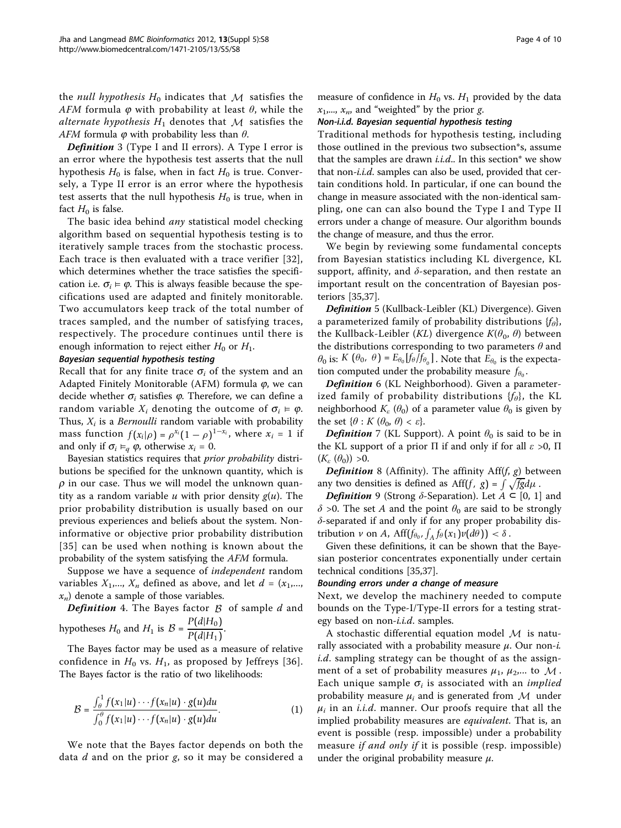the *null hypothesis*  $H_0$  indicates that  $M$  satisfies the AFM formula  $\varphi$  with probability at least  $\theta$ , while the alternate hypothesis  $H_1$  denotes that  $M$  satisfies the AFM formula  $\varphi$  with probability less than  $\theta$ .

Definition 3 (Type I and II errors). A Type I error is an error where the hypothesis test asserts that the null hypothesis  $H_0$  is false, when in fact  $H_0$  is true. Conversely, a Type II error is an error where the hypothesis test asserts that the null hypothesis  $H_0$  is true, when in fact  $H_0$  is false.

The basic idea behind *any* statistical model checking algorithm based on sequential hypothesis testing is to iteratively sample traces from the stochastic process. Each trace is then evaluated with a trace verifier [[32\]](#page-9-0), which determines whether the trace satisfies the specification i.e.  $\sigma_i \models \varphi$ . This is always feasible because the specifications used are adapted and finitely monitorable. Two accumulators keep track of the total number of traces sampled, and the number of satisfying traces, respectively. The procedure continues until there is enough information to reject either  $H_0$  or  $H_1$ .

## Bayesian sequential hypothesis testing

Recall that for any finite trace  $\sigma_i$  of the system and an Adapted Finitely Monitorable (AFM) formula  $\varphi$ , we can decide whether  $\sigma_i$  satisfies  $\varphi$ . Therefore, we can define a random variable  $X_i$  denoting the outcome of  $\sigma_i \vDash \varphi$ . Thus,  $X_i$  is a *Bernoulli* random variable with probability mass function  $f(x_i|\rho) = \rho^{x_i}(1-\rho)^{1-x_i}$ , where  $x_i = 1$  if and only if  $\sigma_i \vDashq \varphi$ , otherwise  $x_i = 0$ .

Bayesian statistics requires that prior probability distributions be specified for the unknown quantity, which is  $\rho$  in our case. Thus we will model the unknown quantity as a random variable u with prior density  $g(u)$ . The prior probability distribution is usually based on our previous experiences and beliefs about the system. Noninformative or objective prior probability distribution [[35](#page-9-0)] can be used when nothing is known about the probability of the system satisfying the AFM formula.

Suppose we have a sequence of independent random variables  $X_1,..., X_n$  defined as above, and let  $d = (x_1,...,x_n)$  $x_n$ ) denote a sample of those variables.

Definition 4. The Bayes factor *B* of sample <sup>d</sup> and

hypotheses  $H_0$  and  $H_1$  is  $B = \frac{P(d|H_0)}{P(d|H_1)}$ .

The Bayes factor may be used as a measure of relative confidence in  $H_0$  vs.  $H_1$ , as proposed by Jeffreys [[36\]](#page-9-0). The Bayes factor is the ratio of two likelihoods:

$$
\mathcal{B} = \frac{\int_{\theta}^{1} f(x_1 | u) \cdots f(x_n | u) \cdot g(u) du}{\int_{0}^{\theta} f(x_1 | u) \cdots f(x_n | u) \cdot g(u) du}.
$$
 (1)

We note that the Bayes factor depends on both the data  $d$  and on the prior  $g$ , so it may be considered a measure of confidence in  $H_0$  vs.  $H_1$  provided by the data  $x_1,..., x_n$ , and "weighted" by the prior g.

# Non-i.i.d. Bayesian sequential hypothesis testing

Traditional methods for hypothesis testing, including those outlined in the previous two subsection\*s, assume that the samples are drawn  $i.i.d.$  In this section\* we show that non- $i.i.d.$  samples can also be used, provided that certain conditions hold. In particular, if one can bound the change in measure associated with the non-identical sampling, one can can also bound the Type I and Type II errors under a change of measure. Our algorithm bounds the change of measure, and thus the error.

We begin by reviewing some fundamental concepts from Bayesian statistics including KL divergence, KL support, affinity, and  $\delta$ -separation, and then restate an important result on the concentration of Bayesian posteriors [\[35,37](#page-9-0)].

**Definition** 5 (Kullback-Leibler (KL) Divergence). Given a parameterized family of probability distributions  $\{f_{\theta}\}$ , the Kullback-Leibler (KL) divergence  $K(\theta_0, \theta)$  between the distributions corresponding to two parameters  $\theta$  and  $\theta_0$  is: *K* ( $\theta_0$ ,  $\theta$ ) =  $E_{\theta_0}[f_{\theta}/f_{\theta_0}]$ . Note that  $E_{\theta_0}$  is the expectation computed under the probability measure  $f_{\theta_0}$ .

**Definition** 6 (KL Neighborhood). Given a parameterized family of probability distributions  $\{f_{\theta}\}\$ , the KL neighborhood  $K_{\varepsilon}$  ( $\theta_0$ ) of a parameter value  $\theta_0$  is given by the set  $\{\theta: K(\theta_0, \theta) < \varepsilon\}.$ 

**Definition** 7 (KL Support). A point  $\theta_0$  is said to be in the KL support of a prior Π if and only if for all  $ε > 0$ , Π  $(K_{\varepsilon}(\theta_0)) > 0.$ 

**Definition** 8 (Affinity). The affinity Aff(f, g) between any two densities is defined as Aff(f,  $g$ ) =  $\int \sqrt{f g} d\mu$ .

**Definition** 9 (Strong  $\delta$ -Separation). Let  $A \subset [0, 1]$  and  $\delta$  >0. The set A and the point  $\theta_0$  are said to be strongly  $\delta$ -separated if and only if for any proper probability distribution  $\nu$  on  $A$ ,  $\text{Aff}(f_{\theta_0}, \int_A f_\theta(x_1) \nu(d\theta)) < \delta$ .

Given these definitions, it can be shown that the Bayesian posterior concentrates exponentially under certain technical conditions [\[35,37\]](#page-9-0).

## Bounding errors under a change of measure

Next, we develop the machinery needed to compute bounds on the Type-I/Type-II errors for a testing strategy based on non-i.i.d. samples.

A stochastic differential equation model *M* is naturally associated with a probability measure  $\mu$ . Our non-i. *i.d.* sampling strategy can be thought of as the assignment of a set of probability measures  $\mu_1$ ,  $\mu_2$ ,... to M. Each unique sample  $\sigma_i$  is associated with an *implied* probability measure  $\mu_i$  and is generated from  $\mathcal M$  under  $\mu_i$  in an *i.i.d.* manner. Our proofs require that all the implied probability measures are equivalent. That is, an event is possible (resp. impossible) under a probability measure *if and only if* it is possible (resp. impossible) under the original probability measure  $\mu$ .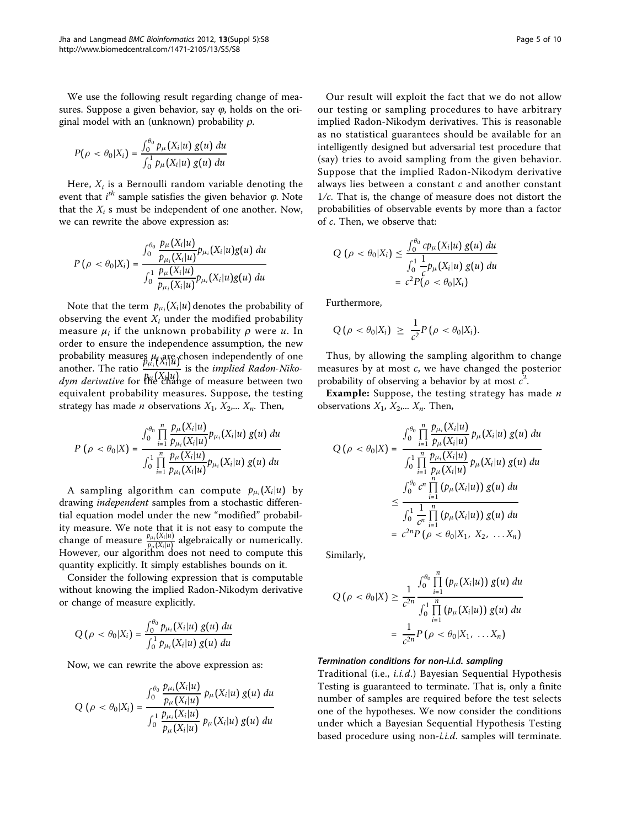We use the following result regarding change of measures. Suppose a given behavior, say  $\varphi$ , holds on the original model with an (unknown) probability  $\rho$ .

$$
P(\rho < \theta_0 | X_i) = \frac{\int_0^{\theta_0} p_\mu(X_i | u) g(u) \, du}{\int_0^1 p_\mu(X_i | u) g(u) \, du}
$$

Here,  $X_i$  is a Bernoulli random variable denoting the event that  $i^{th}$  sample satisfies the given behavior  $\varphi$ . Note that the  $X_i$  s must be independent of one another. Now, we can rewrite the above expression as:

$$
P(\rho < \theta_0 | X_i) = \frac{\int_0^{\theta_0} \frac{p_{\mu}(X_i | u)}{p_{\mu_i}(X_i | u)} p_{\mu_i}(X_i | u) g(u) \ du}{\int_0^1 \frac{p_{\mu}(X_i | u)}{p_{\mu_i}(X_i | u)} p_{\mu_i}(X_i | u) g(u) \ du}
$$

Note that the term  $p_{\mu_i}(X_i|u)$  denotes the probability of observing the event  $X_i$  under the modified probability measure  $\mu_i$  if the unknown probability  $\rho$  were  $u$ . In order to ensure the independence assumption, the new probability measures  $\mu_k$  are chosen independently of one<br>another. The ratio  $\frac{p_{\mu_k}(X_i|u)}{u_k}$  is the *implied Radon-Niko*probability ineasures  $p_{\mu}^{u}$ ( $X_i|u$ ) is the *implied Radon-Niko-dym derivative* for the change of measure between two equivalent probability measures. Suppose, the testing strategy has made *n* observations  $X_1$ ,  $X_2$ ,...  $X_n$ . Then,

$$
P\left(\rho < \theta_0 | X\right) = \frac{\int_0^{\theta_0} \prod_{i=1}^n \frac{p_{\mu}\left(X_i | u\right)}{p_{\mu_i}\left(X_i | u\right)} p_{\mu_i}\left(X_i | u\right) g(u) \, du}{\int_0^1 \prod_{i=1}^n \frac{p_{\mu}\left(X_i | u\right)}{p_{\mu_i}\left(X_i | u\right)} p_{\mu_i}\left(X_i | u\right) g(u) \, du}
$$

A sampling algorithm can compute  $p_{\mu_i}(X_i|u)$  by drawing independent samples from a stochastic differential equation model under the new "modified" probability measure. We note that it is not easy to compute the change of measure  $\frac{p_{\mu_i}(X_i|u)}{p_{\mu}(X_i|u)}$  algebraically or numerically.<br>However, our algorithm does not need to compute this quantity explicitly. It simply establishes bounds on it.

Consider the following expression that is computable without knowing the implied Radon-Nikodym derivative or change of measure explicitly.

$$
Q\left(\rho < \theta_0 | X_i\right) = \frac{\int_0^{\theta_0} p_{\mu_i}(X_i | u) g(u) \, du}{\int_0^1 p_{\mu_i}(X_i | u) g(u) \, du}
$$

Now, we can rewrite the above expression as:

$$
Q\left(\rho < \theta_0 | X_i\right) = \frac{\int_0^{\theta_0} \frac{p_{\mu_i}(X_i | u)}{p_{\mu}(X_i | u)} p_{\mu}(X_i | u) g(u) \, du}{\int_0^1 \frac{p_{\mu_i}(X_i | u)}{p_{\mu}(X_i | u)} p_{\mu}(X_i | u) g(u) \, du}
$$

Our result will exploit the fact that we do not allow our testing or sampling procedures to have arbitrary implied Radon-Nikodym derivatives. This is reasonable as no statistical guarantees should be available for an intelligently designed but adversarial test procedure that (say) tries to avoid sampling from the given behavior. Suppose that the implied Radon-Nikodym derivative always lies between a constant c and another constant  $1/c$ . That is, the change of measure does not distort the probabilities of observable events by more than a factor of c. Then, we observe that:

$$
Q\left(\rho < \theta_0 | X_i\right) \le \frac{\int_0^{\theta_0} c p_\mu(X_i | u) g(u) \ du}{\int_0^1 \frac{1}{c} p_\mu(X_i | u) g(u) \ du}
$$
\n
$$
= c^2 P(\rho < \theta_0 | X_i)
$$

Furthermore,

$$
Q\left(\rho < \theta_0 | X_i\right) \geq \frac{1}{c^2} P\left(\rho < \theta_0 | X_i\right).
$$

Thus, by allowing the sampling algorithm to change measures by at most  $c$ , we have changed the posterior probability of observing a behavior by at most  $c^2$ .

**Example:** Suppose, the testing strategy has made  $n$ observations  $X_1, X_2, \ldots, X_n$ . Then,

$$
Q(\rho < \theta_0 | X) = \frac{\int_0^{\theta_0} \prod_{i=1}^n \frac{p_{\mu_i}(X_i | u)}{p_{\mu}(X_i | u)} p_{\mu}(X_i | u) g(u) du}{\int_0^1 \prod_{i=1}^n \frac{p_{\mu_i}(X_i | u)}{p_{\mu}(X_i | u)} p_{\mu}(X_i | u) g(u) du}
$$
  

$$
\leq \frac{\int_0^{\theta_0} c^n \prod_{i=1}^n (p_{\mu}(X_i | u)) g(u) du}{\int_0^1 \frac{1}{c^n} \prod_{i=1}^n (p_{\mu}(X_i | u)) g(u) du}
$$
  

$$
= c^{2n} P(\rho < \theta_0 | X_1, X_2, ... X_n)
$$

Similarly,

$$
Q(\rho < \theta_0 | X) \ge \frac{1}{c^{2n}} \frac{\int_0^{\theta_0} \prod_{i=1}^n (p_\mu(X_i | u)) g(u) du}{\int_0^1 \prod_{i=1}^n (p_\mu(X_i | u)) g(u) du}
$$
  
= 
$$
\frac{1}{c^{2n}} P(\rho < \theta_0 | X_1, \dots, X_n)
$$

#### Termination conditions for non-i.i.d. sampling

Traditional (i.e., i.i.d.) Bayesian Sequential Hypothesis Testing is guaranteed to terminate. That is, only a finite number of samples are required before the test selects one of the hypotheses. We now consider the conditions under which a Bayesian Sequential Hypothesis Testing based procedure using non-*i.i.d*. samples will terminate.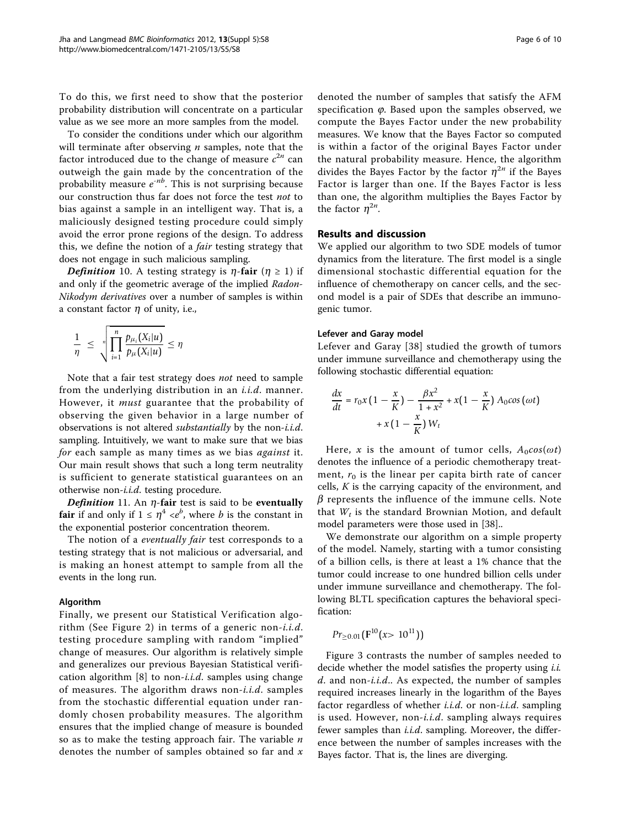To do this, we first need to show that the posterior probability distribution will concentrate on a particular value as we see more an more samples from the model.

To consider the conditions under which our algorithm will terminate after observing  $n$  samples, note that the factor introduced due to the change of measure  $c^{2n}$  can outweigh the gain made by the concentration of the probability measure  $e^{-nb}$ . This is not surprising because our construction thus far does not force the test not to bias against a sample in an intelligent way. That is, a maliciously designed testing procedure could simply avoid the error prone regions of the design. To address this, we define the notion of a *fair* testing strategy that does not engage in such malicious sampling.

*Definition* 10. A testing strategy is  $\eta$ -fair ( $\eta \ge 1$ ) if and only if the geometric average of the implied Radon-Nikodym derivatives over a number of samples is within a constant factor  $\eta$  of unity, i.e.,

$$
\frac{1}{\eta} \leq \sqrt{\prod_{i=1}^n \frac{p_{\mu_i}(X_i|u)}{p_{\mu}(X_i|u)}} \leq \eta
$$

Note that a fair test strategy does not need to sample from the underlying distribution in an  $i.i.d.$  manner. However, it *must* guarantee that the probability of observing the given behavior in a large number of observations is not altered *substantially* by the non-*i.i.d.* sampling. Intuitively, we want to make sure that we bias for each sample as many times as we bias *against* it. Our main result shows that such a long term neutrality is sufficient to generate statistical guarantees on an otherwise non-*i.i.d*. testing procedure.

Definition 11. An  $\eta$ -fair test is said to be eventually **fair** if and only if  $1 \le \eta^4 < e^b$ , where *b* is the constant in the exponential posterior concentration theorem.

The notion of a *eventually fair* test corresponds to a testing strategy that is not malicious or adversarial, and is making an honest attempt to sample from all the events in the long run.

## Algorithm

Finally, we present our Statistical Verification algo-rithm (See Figure [2\)](#page-6-0) in terms of a generic non-i.i.d. testing procedure sampling with random "implied" change of measures. Our algorithm is relatively simple and generalizes our previous Bayesian Statistical verification algorithm  $[8]$  $[8]$  to non-*i.i.d.* samples using change of measures. The algorithm draws non-*i.i.d.* samples from the stochastic differential equation under randomly chosen probability measures. The algorithm ensures that the implied change of measure is bounded so as to make the testing approach fair. The variable  $n$ denotes the number of samples obtained so far and  $x$  denoted the number of samples that satisfy the AFM specification  $\varphi$ . Based upon the samples observed, we compute the Bayes Factor under the new probability measures. We know that the Bayes Factor so computed is within a factor of the original Bayes Factor under the natural probability measure. Hence, the algorithm divides the Bayes Factor by the factor  $\eta^{2n}$  if the Bayes Factor is larger than one. If the Bayes Factor is less than one, the algorithm multiplies the Bayes Factor by the factor  $\eta^{2n}$ .

## Results and discussion

We applied our algorithm to two SDE models of tumor dynamics from the literature. The first model is a single dimensional stochastic differential equation for the influence of chemotherapy on cancer cells, and the second model is a pair of SDEs that describe an immunogenic tumor.

## Lefever and Garay model

Lefever and Garay [[38](#page-9-0)] studied the growth of tumors under immune surveillance and chemotherapy using the following stochastic differential equation:

$$
\frac{dx}{dt} = r_0 x \left(1 - \frac{x}{K}\right) - \frac{\beta x^2}{1 + x^2} + x \left(1 - \frac{x}{K}\right) A_0 \cos\left(\omega t\right) + x \left(1 - \frac{x}{K}\right) W_t
$$

Here, x is the amount of tumor cells,  $A_0 cos(\omega t)$ denotes the influence of a periodic chemotherapy treatment,  $r_0$  is the linear per capita birth rate of cancer cells,  $K$  is the carrying capacity of the environment, and  $\beta$  represents the influence of the immune cells. Note that  $W_t$  is the standard Brownian Motion, and default model parameters were those used in [\[38\]](#page-9-0)..

We demonstrate our algorithm on a simple property of the model. Namely, starting with a tumor consisting of a billion cells, is there at least a 1% chance that the tumor could increase to one hundred billion cells under under immune surveillance and chemotherapy. The following BLTL specification captures the behavioral specification:

$$
Pr_{\geq 0.01}(\mathbf{F}^{10}(x>10^{11}))
$$

Figure [3](#page-6-0) contrasts the number of samples needed to decide whether the model satisfies the property using *i.i.*  $d.$  and non-i.i.d.. As expected, the number of samples required increases linearly in the logarithm of the Bayes factor regardless of whether i.i.d. or non-i.i.d. sampling is used. However, non-*i.i.d.* sampling always requires fewer samples than *i.i.d.* sampling. Moreover, the difference between the number of samples increases with the Bayes factor. That is, the lines are diverging.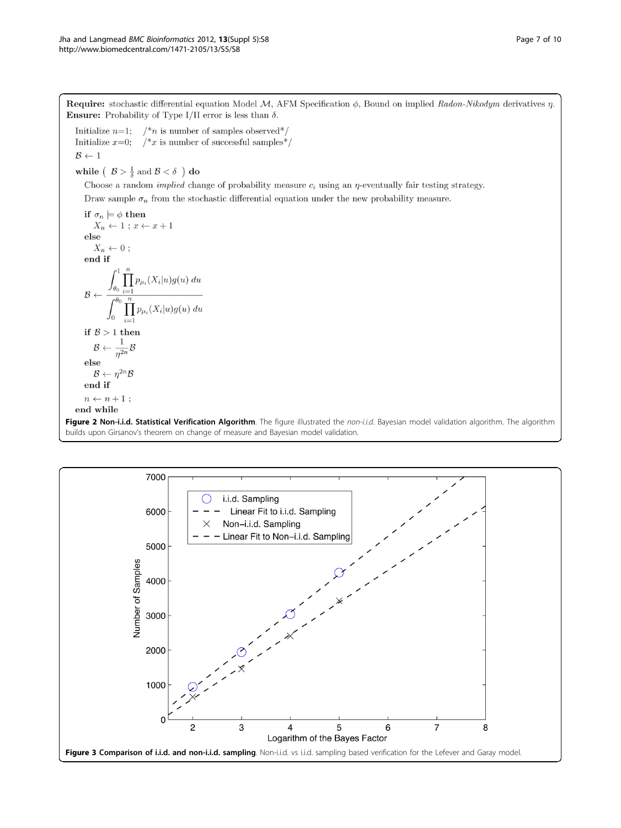<span id="page-6-0"></span>**Require:** stochastic differential equation Model M, AFM Specification  $\phi$ , Bound on implied Radon-Nikodym derivatives  $\eta$ . **Ensure:** Probability of Type I/II error is less than  $\delta$ .

```
Initialize n=1; /*n is number of samples observed*/
Initialize x=0;
                   \frac{1}{x} is number of successful samples<sup>*</sup>/
B \leftarrow 1
```
while  $(\mathcal{B} > \frac{1}{\delta} \text{ and } \mathcal{B} < \delta)$  do

Choose a random *implied* change of probability measure  $c_i$  using an *n*-eventually fair testing strategy. Draw sample  $\sigma_n$  from the stochastic differential equation under the new probability measure.

if 
$$
\sigma_n \models \phi
$$
 then

\n
$$
X_n \leftarrow 1 \, ; \, x \leftarrow x + 1
$$
\nelse

\n
$$
X_n \leftarrow 0 \, ;
$$
\nend if

\n
$$
\mathcal{B} \leftarrow \frac{\int_{\theta_0}^1 \prod_{i=1}^n p_{\mu_i}(X_i|u)g(u) \, du}{\int_0^{\theta_0} \prod_{i=1}^n p_{\mu_i}(X_i|u)g(u) \, du}
$$
\nif  $B > 1$  then

\n
$$
B \leftarrow \frac{1}{\eta^{2n}} B
$$
\nelse

\n
$$
B \leftarrow \eta^{2n} B
$$
\nend if

\n
$$
n \leftarrow n + 1
$$
\nend while

Figure 2 Non-i.i.d. Statistical Verification Algorithm. The figure illustrated the non-i.i.d. Bayesian model validation algorithm. The algorithm builds upon Girsanov's theorem on change of measure and Bayesian model validation.

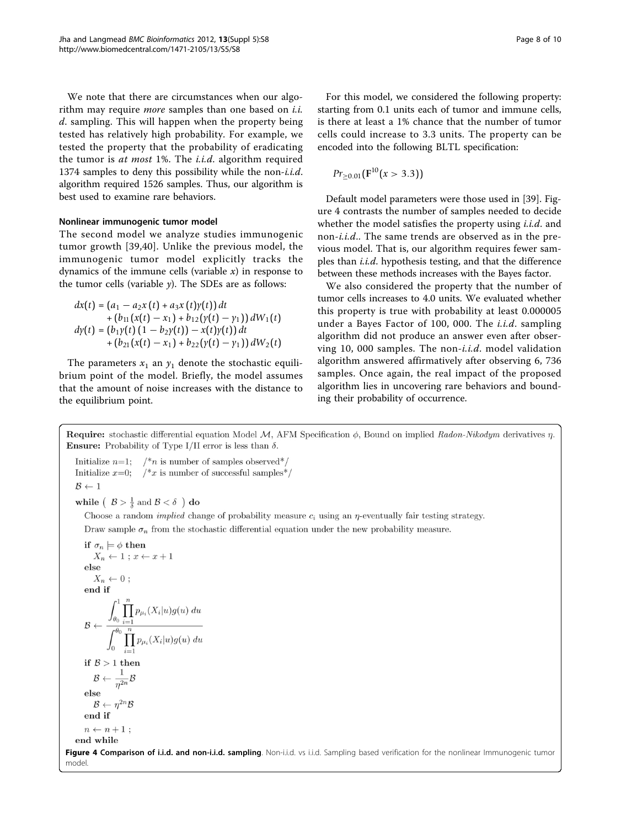We note that there are circumstances when our algorithm may require *more* samples than one based on *i.i.* d. sampling. This will happen when the property being tested has relatively high probability. For example, we tested the property that the probability of eradicating the tumor is *at most* 1%. The *i.i.d.* algorithm required 1374 samples to deny this possibility while the non-i.i.d. algorithm required 1526 samples. Thus, our algorithm is best used to examine rare behaviors.

#### Nonlinear immunogenic tumor model

The second model we analyze studies immunogenic tumor growth [[39,40\]](#page-9-0). Unlike the previous model, the immunogenic tumor model explicitly tracks the dynamics of the immune cells (variable  $x$ ) in response to the tumor cells (variable  $\gamma$ ). The SDEs are as follows:

$$
dx(t) = (a_1 - a_2x(t) + a_3x(t)\gamma(t)) dt + (b_{11}(x(t) - x_1) + b_{12}(\gamma(t) - \gamma_1)) dW_1(t) dy(t) = (b_1\gamma(t) (1 - b_2\gamma(t)) - x(t)\gamma(t)) dt + (b_{21}(x(t) - x_1) + b_{22}(\gamma(t) - \gamma_1)) dW_2(t)
$$

The parameters  $x_1$  an  $y_1$  denote the stochastic equilibrium point of the model. Briefly, the model assumes that the amount of noise increases with the distance to the equilibrium point.

For this model, we considered the following property: starting from 0.1 units each of tumor and immune cells, is there at least a 1% chance that the number of tumor cells could increase to 3.3 units. The property can be encoded into the following BLTL specification:

$$
Pr_{\geq 0.01}(\mathbf{F}^{10}(x > 3.3))
$$

Default model parameters were those used in [[39](#page-9-0)]. Figure 4 contrasts the number of samples needed to decide whether the model satisfies the property using *i.i.d.* and non-*i.i.d.*. The same trends are observed as in the previous model. That is, our algorithm requires fewer samples than *i.i.d.* hypothesis testing, and that the difference between these methods increases with the Bayes factor.

We also considered the property that the number of tumor cells increases to 4.0 units. We evaluated whether this property is true with probability at least 0.000005 under a Bayes Factor of 100, 000. The *i.i.d.* sampling algorithm did not produce an answer even after observing 10, 000 samples. The non-i.i.d. model validation algorithm answered affirmatively after observing 6, 736 samples. Once again, the real impact of the proposed algorithm lies in uncovering rare behaviors and bounding their probability of occurrence.

**Require:** stochastic differential equation Model M, AFM Specification  $\phi$ , Bound on implied Radon-Nikodym derivatives  $\eta$ . **Ensure:** Probability of Type I/II error is less than  $\delta$ .

Initialize  $n=1$ : /\**n* is number of samples observed\*/ Initialize  $x=0$ ; /\*x is number of successful samples\*/  $\mathcal{B} \leftarrow 1$ 

while  $(\mathcal{B} > \frac{1}{3}$  and  $\mathcal{B} < \delta$  ) do

Choose a random *implied* change of probability measure  $c_i$  using an  $\eta$ -eventually fair testing strategy. Draw sample  $\sigma_n$  from the stochastic differential equation under the new probability measure.

if 
$$
\sigma_n \models \phi
$$
 then  
\n $X_n \leftarrow 1$ ;  $x \leftarrow x + 1$   
\nelse  
\n $X_n \leftarrow 0$ ;  
\nend if  
\n
$$
\beta \leftarrow \frac{\int_{\theta_0}^{1} \prod_{i=1}^{n} p_{\mu_i}(X_i|u)g(u) du}{\int_{0}^{\theta_0} \prod_{i=1}^{n} p_{\mu_i}(X_i|u)g(u) du}
$$
\nif  $B > 1$  then  
\n $B \leftarrow \frac{1}{\eta^{2n}} B$   
\nelse  
\n $B \leftarrow \eta^{2n} B$   
\nend if  
\n $n \leftarrow n + 1$ ;  
\nend while

Figure 4 Comparison of i.i.d. and non-i.i.d. sampling. Non-i.i.d. vs i.i.d. Sampling based verification for the nonlinear Immunogenic tumor model.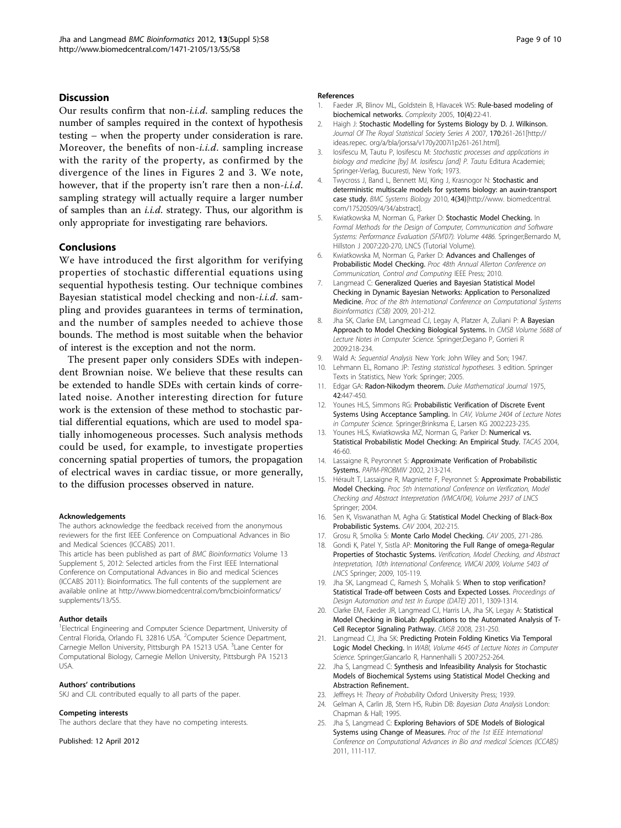## <span id="page-8-0"></span>**Discussion**

Our results confirm that non-i.i.d. sampling reduces the number of samples required in the context of hypothesis testing – when the property under consideration is rare. Moreover, the benefits of non-*i.i.d.* sampling increase with the rarity of the property, as confirmed by the divergence of the lines in Figures [2](#page-6-0) and [3](#page-6-0). We note, however, that if the property isn't rare then a non-*i.i.d.* sampling strategy will actually require a larger number of samples than an  $i.i.d.$  strategy. Thus, our algorithm is only appropriate for investigating rare behaviors.

## Conclusions

We have introduced the first algorithm for verifying properties of stochastic differential equations using sequential hypothesis testing. Our technique combines Bayesian statistical model checking and non-*i.i.d.* sampling and provides guarantees in terms of termination, and the number of samples needed to achieve those bounds. The method is most suitable when the behavior of interest is the exception and not the norm.

The present paper only considers SDEs with independent Brownian noise. We believe that these results can be extended to handle SDEs with certain kinds of correlated noise. Another interesting direction for future work is the extension of these method to stochastic partial differential equations, which are used to model spatially inhomogeneous processes. Such analysis methods could be used, for example, to investigate properties concerning spatial properties of tumors, the propagation of electrical waves in cardiac tissue, or more generally, to the diffusion processes observed in nature.

#### Acknowledgements

The authors acknowledge the feedback received from the anonymous reviewers for the first IEEE Conference on Compuational Advances in Bio and Medical Sciences (ICCABS) 2011.

This article has been published as part of BMC Bioinformatics Volume 13 Supplement 5, 2012: Selected articles from the First IEEE International Conference on Computational Advances in Bio and medical Sciences (ICCABS 2011): Bioinformatics. The full contents of the supplement are available online at [http://www.biomedcentral.com/bmcbioinformatics/](http://www.biomedcentral.com/bmcbioinformatics/supplements/13/S5) [supplements/13/S5.](http://www.biomedcentral.com/bmcbioinformatics/supplements/13/S5)

#### Author details

<sup>1</sup> Electrical Engineering and Computer Science Department, University of Central Florida, Orlando FL 32816 USA. <sup>2</sup>Computer Science Department, Carnegie Mellon University, Pittsburgh PA 15213 USA. <sup>3</sup>Lane Center for Computational Biology, Carnegie Mellon University, Pittsburgh PA 15213 USA.

#### Authors' contributions

SKJ and CJL contributed equally to all parts of the paper.

#### Competing interests

The authors declare that they have no competing interests.

Published: 12 April 2012

#### References

- 1. Faeder JR, Blinov ML, Goldstein B, Hlavacek WS: Rule-based modeling of biochemical networks. Complexity 2005, 10(4):22-41.
- 2. Haigh J: Stochastic Modelling for Systems Biology by D. J. Wilkinson. Journal Of The Royal Statistical Society Series A 2007, 170:261-261[\[http://](http://ideas.repec. org/a/bla/jorssa/v170y2007i1p261-261.html) [ideas.repec. org/a/bla/jorssa/v170y2007i1p261-261.html\]](http://ideas.repec. org/a/bla/jorssa/v170y2007i1p261-261.html).
- 3. Iosifescu M, Tautu P, Iosifescu M: Stochastic processes and applications in biology and medicine [by] M. Iosifescu [and] P. Tautu Editura Academiei; Springer-Verlag, Bucuresti, New York; 1973.
- 4. Twycross J, Band L, Bennett MJ, King J, Krasnogor N: Stochastic and deterministic multiscale models for systems biology: an auxin-transport case study. BMC Systems Biology 2010, 4(34)[[http://www. biomedcentral.](http://www. biomedcentral.com/17520509/4/34/abstract) [com/17520509/4/34/abstract\]](http://www. biomedcentral.com/17520509/4/34/abstract).
- 5. Kwiatkowska M, Norman G, Parker D: Stochastic Model Checking. In Formal Methods for the Design of Computer, Communication and Software Systems: Performance Evaluation (SFM'07). Volume 4486. Springer;Bernardo M, Hillston J 2007:220-270, LNCS (Tutorial Volume).
- 6. Kwiatkowska M, Norman G, Parker D: Advances and Challenges of Probabilistic Model Checking. Proc 48th Annual Allerton Conference on Communication, Control and Computing IEEE Press; 2010.
- 7. Langmead C: Generalized Queries and Bayesian Statistical Model Checking in Dynamic Bayesian Networks: Application to Personalized Medicine. Proc of the 8th International Conference on Computational Systems Bioinformatics (CSB) 2009, 201-212.
- 8. Jha SK, Clarke EM, Langmead CJ, Legay A, Platzer A, Zuliani P: A Bayesian Approach to Model Checking Biological Systems. In CMSB Volume 5688 of Lecture Notes in Computer Science. Springer;Degano P, Gorrieri R 2009:218-234.
- 9. Wald A: Sequential Analysis New York: John Wiley and Son; 1947.
- 10. Lehmann EL, Romano JP: Testing statistical hypotheses. 3 edition. Springer Texts in Statistics, New York: Springer; 2005.
- 11. Edgar GA: Radon-Nikodym theorem. Duke Mathematical Journal 1975, 42:447-450.
- 12. Younes HLS, Simmons RG: Probabilistic Verification of Discrete Event Systems Using Acceptance Sampling. In CAV, Volume 2404 of Lecture Notes in Computer Science. Springer;Brinksma E, Larsen KG 2002:223-235.
- 13. Younes HLS, Kwiatkowska MZ, Norman G, Parker D: Numerical vs. Statistical Probabilistic Model Checking: An Empirical Study. TACAS 2004, 46-60.
- 14. Lassaigne R, Peyronnet S: Approximate Verification of Probabilistic Systems. PAPM-PROBMIV 2002, 213-214.
- 15. Hérault T, Lassaigne R, Magniette F, Peyronnet S: Approximate Probabilistic Model Checking. Proc 5th International Conference on Verification, Model Checking and Abstract Interpretation (VMCAI'04), Volume 2937 of LNCS Springer; 2004.
- 16. Sen K, Viswanathan M, Agha G: Statistical Model Checking of Black-Box Probabilistic Systems. CAV 2004, 202-215.
- 17. Grosu R, Smolka S: Monte Carlo Model Checking. CAV 2005, 271-286.
- 18. Gondi K, Patel Y, Sistla AP: Monitoring the Full Range of omega-Regular Properties of Stochastic Systems. Verification, Model Checking, and Abstract Interpretation, 10th International Conference, VMCAI 2009, Volume 5403 of LNCS Springer; 2009, 105-119.
- 19. Jha SK, Langmead C, Ramesh S, Mohalik S: When to stop verification? Statistical Trade-off between Costs and Expected Losses. Proceedings of Design Automation and test In Europe (DATE) 2011, 1309-1314.
- 20. Clarke EM, Faeder JR, Langmead CJ, Harris LA, Jha SK, Legay A: Statistical Model Checking in BioLab: Applications to the Automated Analysis of T-Cell Receptor Signaling Pathway. CMSB 2008, 231-250.
- 21. Langmead CJ, Jha SK: Predicting Protein Folding Kinetics Via Temporal Logic Model Checking. In WABI, Volume 4645 of Lecture Notes in Computer Science. Springer;Giancarlo R, Hannenhalli S 2007:252-264.
- 22. Jha S, Langmead C: Synthesis and Infeasibility Analysis for Stochastic Models of Biochemical Systems using Statistical Model Checking and Abstraction Refinement..
- 23. Jeffreys H: Theory of Probability Oxford University Press; 1939.
- 24. Gelman A, Carlin JB, Stern HS, Rubin DB: Bayesian Data Analysis London: Chapman & Hall; 1995.
- 25. Jha S, Langmead C: Exploring Behaviors of SDE Models of Biological Systems using Change of Measures. Proc of the 1st IEEE International Conference on Computational Advances in Bio and medical Sciences (ICCABS) 2011, 111-117.